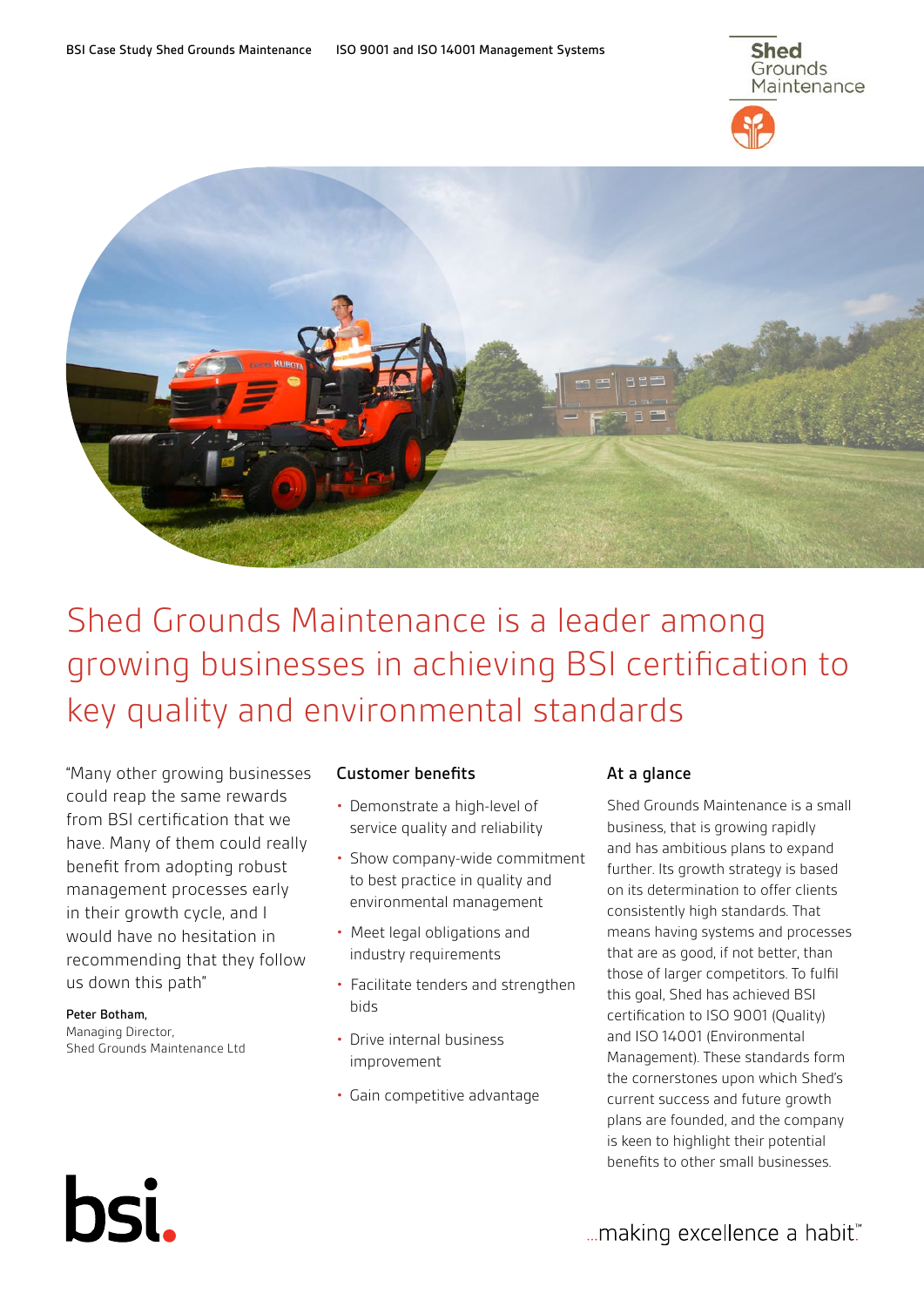



# Shed Grounds Maintenance is a leader among growing businesses in achieving BSI certification to key quality and environmental standards

"Many other growing businesses could reap the same rewards from BSI certification that we have. Many of them could really benefit from adopting robust management processes early in their growth cycle, and I would have no hesitation in recommending that they follow us down this path"

Peter Botham, Managing Director, Shed Grounds Maintenance Ltd

bsi.

## Customer benefits

- Demonstrate a high-level of service quality and reliability
- Show company-wide commitment to best practice in quality and environmental management
- Meet legal obligations and industry requirements
- Facilitate tenders and strengthen bids
- Drive internal business improvement
- Gain competitive advantage

### At a glance

Shed Grounds Maintenance is a small business, that is growing rapidly and has ambitious plans to expand further. Its growth strategy is based on its determination to offer clients consistently high standards. That means having systems and processes that are as good, if not better, than those of larger competitors. To fulfil this goal, Shed has achieved BSI certification to ISO 9001 (Quality) and ISO 14001 (Environmental Management). These standards form the cornerstones upon which Shed's current success and future growth plans are founded, and the company is keen to highlight their potential benefits to other small businesses.